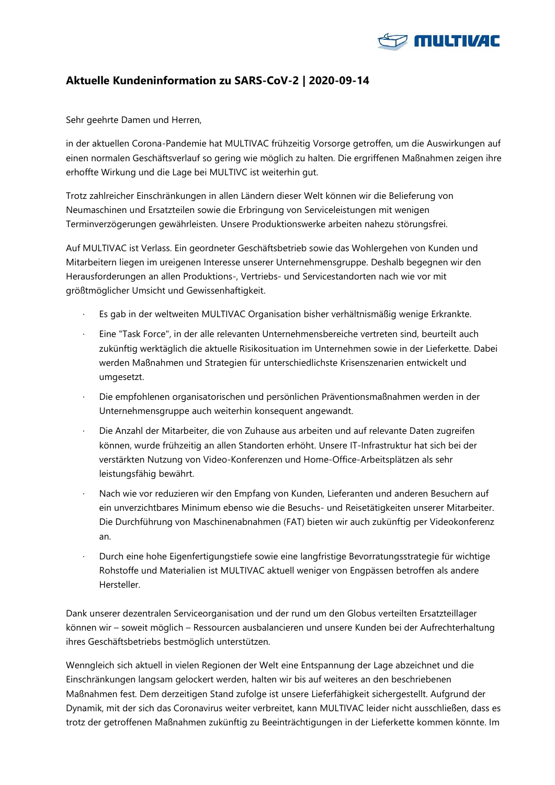

## **Aktuelle Kundeninformation zu SARS-CoV-2 | 2020-09-14**

Sehr geehrte Damen und Herren,

in der aktuellen Corona-Pandemie hat MULTIVAC frühzeitig Vorsorge getroffen, um die Auswirkungen auf einen normalen Geschäftsverlauf so gering wie möglich zu halten. Die ergriffenen Maßnahmen zeigen ihre erhoffte Wirkung und die Lage bei MULTIVC ist weiterhin gut.

Trotz zahlreicher Einschränkungen in allen Ländern dieser Welt können wir die Belieferung von Neumaschinen und Ersatzteilen sowie die Erbringung von Serviceleistungen mit wenigen Terminverzögerungen gewährleisten. Unsere Produktionswerke arbeiten nahezu störungsfrei.

Auf MULTIVAC ist Verlass. Ein geordneter Geschäftsbetrieb sowie das Wohlergehen von Kunden und Mitarbeitern liegen im ureigenen Interesse unserer Unternehmensgruppe. Deshalb begegnen wir den Herausforderungen an allen Produktions-, Vertriebs- und Servicestandorten nach wie vor mit größtmöglicher Umsicht und Gewissenhaftigkeit.

- · Es gab in der weltweiten MULTIVAC Organisation bisher verhältnismäßig wenige Erkrankte.
- · Eine "Task Force", in der alle relevanten Unternehmensbereiche vertreten sind, beurteilt auch zukünftig werktäglich die aktuelle Risikosituation im Unternehmen sowie in der Lieferkette. Dabei werden Maßnahmen und Strategien für unterschiedlichste Krisenszenarien entwickelt und umgesetzt.
- · Die empfohlenen organisatorischen und persönlichen Präventionsmaßnahmen werden in der Unternehmensgruppe auch weiterhin konsequent angewandt.
- · Die Anzahl der Mitarbeiter, die von Zuhause aus arbeiten und auf relevante Daten zugreifen können, wurde frühzeitig an allen Standorten erhöht. Unsere IT-Infrastruktur hat sich bei der verstärkten Nutzung von Video-Konferenzen und Home-Office-Arbeitsplätzen als sehr leistungsfähig bewährt.
- · Nach wie vor reduzieren wir den Empfang von Kunden, Lieferanten und anderen Besuchern auf ein unverzichtbares Minimum ebenso wie die Besuchs- und Reisetätigkeiten unserer Mitarbeiter. Die Durchführung von Maschinenabnahmen (FAT) bieten wir auch zukünftig per Videokonferenz an.
- · Durch eine hohe Eigenfertigungstiefe sowie eine langfristige Bevorratungsstrategie für wichtige Rohstoffe und Materialien ist MULTIVAC aktuell weniger von Engpässen betroffen als andere Hersteller.

Dank unserer dezentralen Serviceorganisation und der rund um den Globus verteilten Ersatzteillager können wir – soweit möglich – Ressourcen ausbalancieren und unsere Kunden bei der Aufrechterhaltung ihres Geschäftsbetriebs bestmöglich unterstützen.

Wenngleich sich aktuell in vielen Regionen der Welt eine Entspannung der Lage abzeichnet und die Einschränkungen langsam gelockert werden, halten wir bis auf weiteres an den beschriebenen Maßnahmen fest. Dem derzeitigen Stand zufolge ist unsere Lieferfähigkeit sichergestellt. Aufgrund der Dynamik, mit der sich das Coronavirus weiter verbreitet, kann MULTIVAC leider nicht ausschließen, dass es trotz der getroffenen Maßnahmen zukünftig zu Beeinträchtigungen in der Lieferkette kommen könnte. Im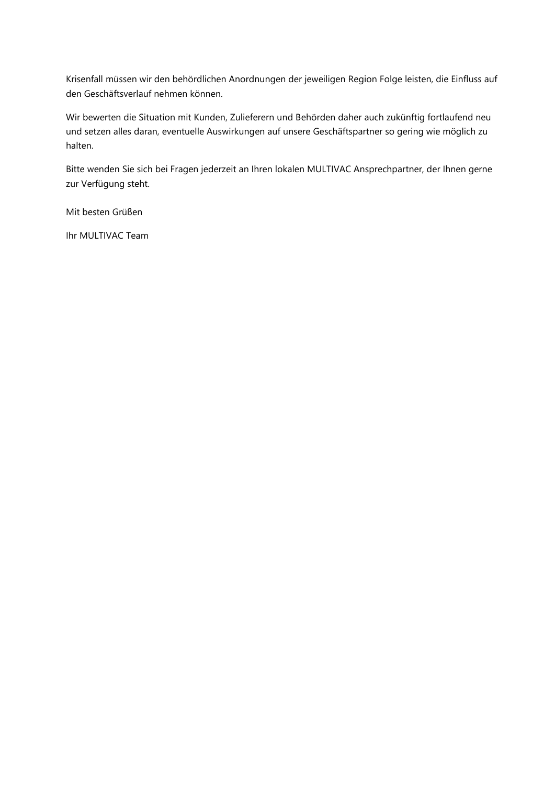Krisenfall müssen wir den behördlichen Anordnungen der jeweiligen Region Folge leisten, die Einfluss auf den Geschäftsverlauf nehmen können.

Wir bewerten die Situation mit Kunden, Zulieferern und Behörden daher auch zukünftig fortlaufend neu und setzen alles daran, eventuelle Auswirkungen auf unsere Geschäftspartner so gering wie möglich zu halten.

Bitte wenden Sie sich bei Fragen jederzeit an Ihren lokalen MULTIVAC Ansprechpartner, der Ihnen gerne zur Verfügung steht.

Mit besten Grüßen

Ihr MULTIVAC Team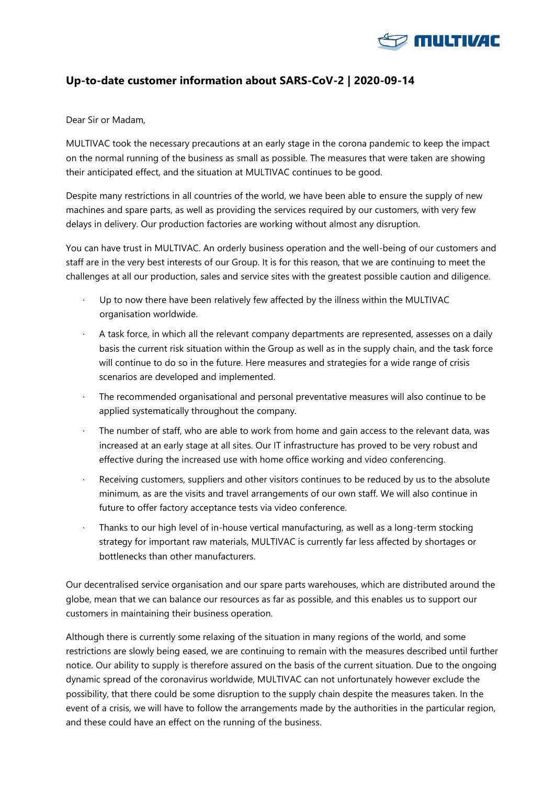

### **Up-to-date customer information about SARS-CoV-2 | 2020-09-14**

#### Dear Sir or Madam,

MULTIVAC took the necessary precautions at an early stage in the corona pandemic to keep the impact on the normal running of the business as small as possible. The measures that were taken are showing their anticipated effect, and the situation at MULTIVAC continues to be good.

Despite many restrictions in all countries of the world, we have been able to ensure the supply of new machines and spare parts, as well as providing the services required by our customers, with very few delays in delivery. Our production factories are working without almost any disruption.

You can have trust in MULTIVAC. An orderly business operation and the well-being of our customers and staff are in the very best interests of our Group. It is for this reason, that we are continuing to meet the challenges at all our production, sales and service sites with the greatest possible caution and diligence.

- Up to now there have been relatively few affected by the illness within the MULTIVAC organisation worldwide.
- · A task force, in which all the relevant company departments are represented, assesses on a daily basis the current risk situation within the Group as well as in the supply chain, and the task force will continue to do so in the future. Here measures and strategies for a wide range of crisis scenarios are developed and implemented.
- The recommended organisational and personal preventative measures will also continue to be applied systematically throughout the company.
- The number of staff, who are able to work from home and gain access to the relevant data, was increased at an early stage at all sites. Our IT infrastructure has proved to be very robust and effective during the increased use with home office working and video conferencing.
- Receiving customers, suppliers and other visitors continues to be reduced by us to the absolute minimum, as are the visits and travel arrangements of our own staff. We will also continue in future to offer factory acceptance tests via video conference.
- · Thanks to our high level of in-house vertical manufacturing, as well as a long-term stocking strategy for important raw materials, MULTIVAC is currently far less affected by shortages or bottlenecks than other manufacturers.

Our decentralised service organisation and our spare parts warehouses, which are distributed around the globe, mean that we can balance our resources as far as possible, and this enables us to support our customers in maintaining their business operation.

Although there is currently some relaxing of the situation in many regions of the world, and some restrictions are slowly being eased, we are continuing to remain with the measures described until further notice. Our ability to supply is therefore assured on the basis of the current situation. Due to the ongoing dynamic spread of the coronavirus worldwide, MULTIVAC can not unfortunately however exclude the possibility, that there could be some disruption to the supply chain despite the measures taken. In the event of a crisis, we will have to follow the arrangements made by the authorities in the particular region, and these could have an effect on the running of the business.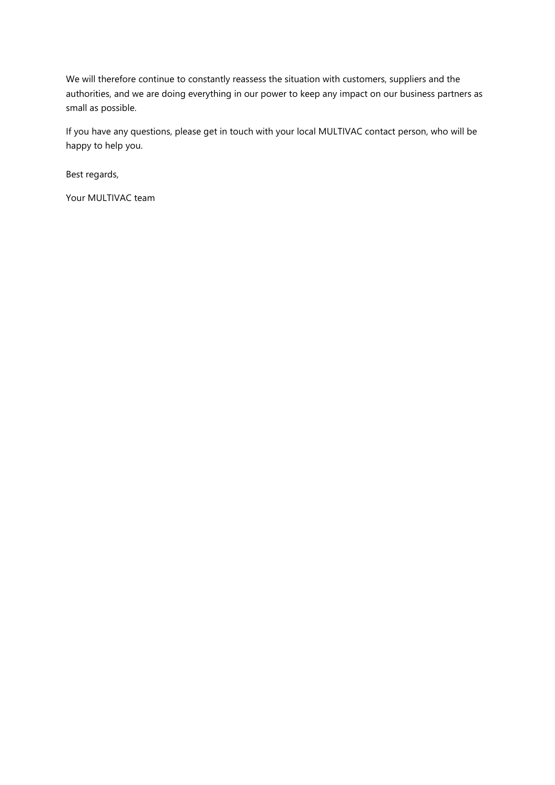We will therefore continue to constantly reassess the situation with customers, suppliers and the authorities, and we are doing everything in our power to keep any impact on our business partners as small as possible.

If you have any questions, please get in touch with your local MULTIVAC contact person, who will be happy to help you.

Best regards,

Your MULTIVAC team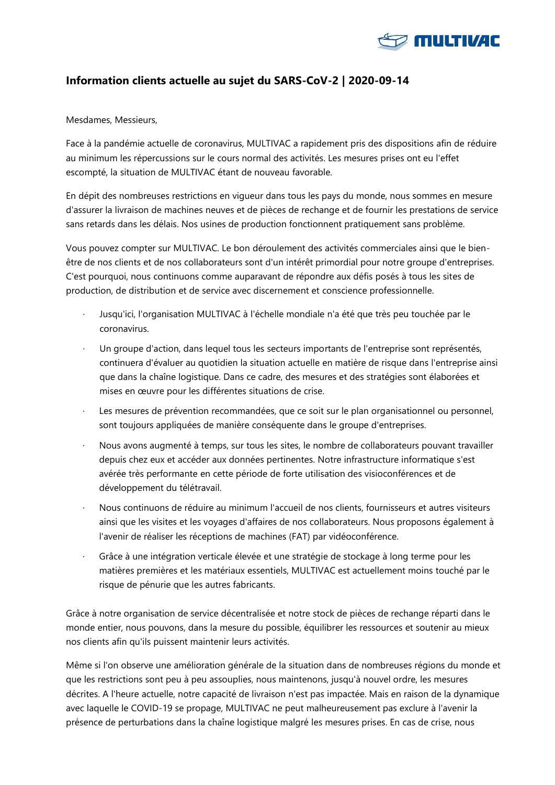

## **Information clients actuelle au sujet du SARS-CoV-2 | 2020-09-14**

#### Mesdames, Messieurs,

Face à la pandémie actuelle de coronavirus, MULTIVAC a rapidement pris des dispositions afin de réduire au minimum les répercussions sur le cours normal des activités. Les mesures prises ont eu l'effet escompté, la situation de MULTIVAC étant de nouveau favorable.

En dépit des nombreuses restrictions en vigueur dans tous les pays du monde, nous sommes en mesure d'assurer la livraison de machines neuves et de pièces de rechange et de fournir les prestations de service sans retards dans les délais. Nos usines de production fonctionnent pratiquement sans problème.

Vous pouvez compter sur MULTIVAC. Le bon déroulement des activités commerciales ainsi que le bienêtre de nos clients et de nos collaborateurs sont d'un intérêt primordial pour notre groupe d'entreprises. C'est pourquoi, nous continuons comme auparavant de répondre aux défis posés à tous les sites de production, de distribution et de service avec discernement et conscience professionnelle.

- · Jusqu'ici, l'organisation MULTIVAC à l'échelle mondiale n'a été que très peu touchée par le coronavirus.
- Un groupe d'action, dans lequel tous les secteurs importants de l'entreprise sont représentés, continuera d'évaluer au quotidien la situation actuelle en matière de risque dans l'entreprise ainsi que dans la chaîne logistique. Dans ce cadre, des mesures et des stratégies sont élaborées et mises en œuvre pour les différentes situations de crise.
- Les mesures de prévention recommandées, que ce soit sur le plan organisationnel ou personnel, sont toujours appliquées de manière conséquente dans le groupe d'entreprises.
- · Nous avons augmenté à temps, sur tous les sites, le nombre de collaborateurs pouvant travailler depuis chez eux et accéder aux données pertinentes. Notre infrastructure informatique s'est avérée très performante en cette période de forte utilisation des visioconférences et de développement du télétravail.
- · Nous continuons de réduire au minimum l'accueil de nos clients, fournisseurs et autres visiteurs ainsi que les visites et les voyages d'affaires de nos collaborateurs. Nous proposons également à l'avenir de réaliser les réceptions de machines (FAT) par vidéoconférence.
- · Grâce à une intégration verticale élevée et une stratégie de stockage à long terme pour les matières premières et les matériaux essentiels, MULTIVAC est actuellement moins touché par le risque de pénurie que les autres fabricants.

Grâce à notre organisation de service décentralisée et notre stock de pièces de rechange réparti dans le monde entier, nous pouvons, dans la mesure du possible, équilibrer les ressources et soutenir au mieux nos clients afin qu'ils puissent maintenir leurs activités.

Même si l'on observe une amélioration générale de la situation dans de nombreuses régions du monde et que les restrictions sont peu à peu assouplies, nous maintenons, jusqu'à nouvel ordre, les mesures décrites. A l'heure actuelle, notre capacité de livraison n'est pas impactée. Mais en raison de la dynamique avec laquelle le COVID-19 se propage, MULTIVAC ne peut malheureusement pas exclure à l'avenir la présence de perturbations dans la chaîne logistique malgré les mesures prises. En cas de crise, nous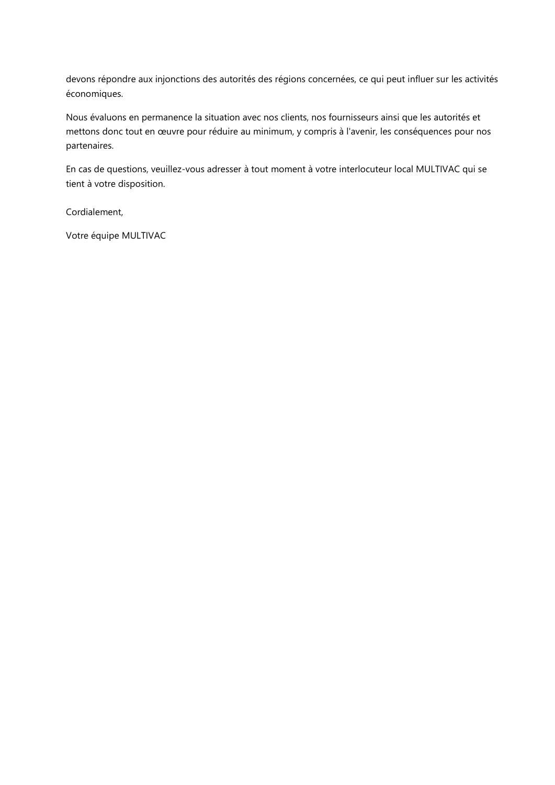devons répondre aux injonctions des autorités des régions concernées, ce qui peut influer sur les activités économiques.

Nous évaluons en permanence la situation avec nos clients, nos fournisseurs ainsi que les autorités et mettons donc tout en œuvre pour réduire au minimum, y compris à l'avenir, les conséquences pour nos partenaires.

En cas de questions, veuillez-vous adresser à tout moment à votre interlocuteur local MULTIVAC qui se tient à votre disposition.

Cordialement,

Votre équipe MULTIVAC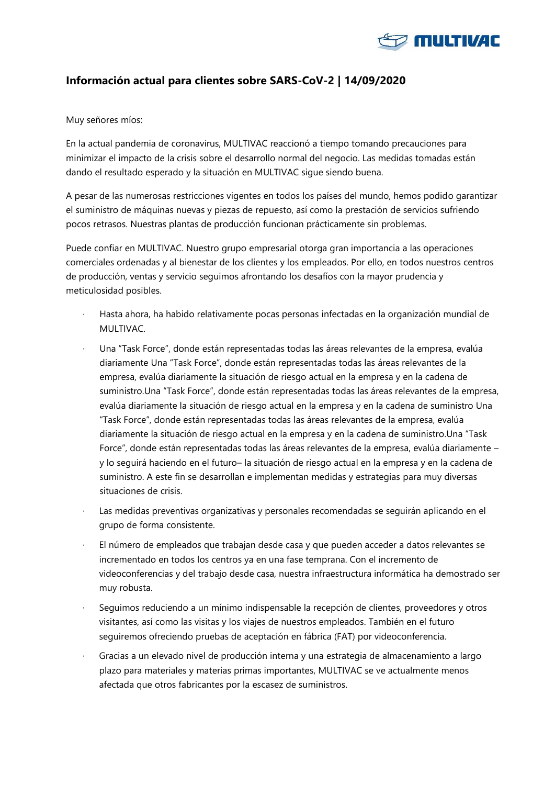

# **Información actual para clientes sobre SARS-CoV-2 | 14/09/2020**

Muy señores míos:

En la actual pandemia de coronavirus, MULTIVAC reaccionó a tiempo tomando precauciones para minimizar el impacto de la crisis sobre el desarrollo normal del negocio. Las medidas tomadas están dando el resultado esperado y la situación en MULTIVAC sigue siendo buena.

A pesar de las numerosas restricciones vigentes en todos los países del mundo, hemos podido garantizar el suministro de máquinas nuevas y piezas de repuesto, así como la prestación de servicios sufriendo pocos retrasos. Nuestras plantas de producción funcionan prácticamente sin problemas.

Puede confiar en MULTIVAC. Nuestro grupo empresarial otorga gran importancia a las operaciones comerciales ordenadas y al bienestar de los clientes y los empleados. Por ello, en todos nuestros centros de producción, ventas y servicio seguimos afrontando los desafíos con la mayor prudencia y meticulosidad posibles.

- · Hasta ahora, ha habido relativamente pocas personas infectadas en la organización mundial de MULTIVAC.
- · Una "Task Force", donde están representadas todas las áreas relevantes de la empresa, evalúa diariamente Una "Task Force", donde están representadas todas las áreas relevantes de la empresa, evalúa diariamente la situación de riesgo actual en la empresa y en la cadena de suministro.Una "Task Force", donde están representadas todas las áreas relevantes de la empresa, evalúa diariamente la situación de riesgo actual en la empresa y en la cadena de suministro Una "Task Force", donde están representadas todas las áreas relevantes de la empresa, evalúa diariamente la situación de riesgo actual en la empresa y en la cadena de suministro.Una "Task Force", donde están representadas todas las áreas relevantes de la empresa, evalúa diariamente – y lo seguirá haciendo en el futuro– la situación de riesgo actual en la empresa y en la cadena de suministro. A este fin se desarrollan e implementan medidas y estrategias para muy diversas situaciones de crisis.
- Las medidas preventivas organizativas y personales recomendadas se seguirán aplicando en el grupo de forma consistente.
- · El número de empleados que trabajan desde casa y que pueden acceder a datos relevantes se incrementado en todos los centros ya en una fase temprana. Con el incremento de videoconferencias y del trabajo desde casa, nuestra infraestructura informática ha demostrado ser muy robusta.
- · Seguimos reduciendo a un mínimo indispensable la recepción de clientes, proveedores y otros visitantes, así como las visitas y los viajes de nuestros empleados. También en el futuro seguiremos ofreciendo pruebas de aceptación en fábrica (FAT) por videoconferencia.
- · Gracias a un elevado nivel de producción interna y una estrategia de almacenamiento a largo plazo para materiales y materias primas importantes, MULTIVAC se ve actualmente menos afectada que otros fabricantes por la escasez de suministros.